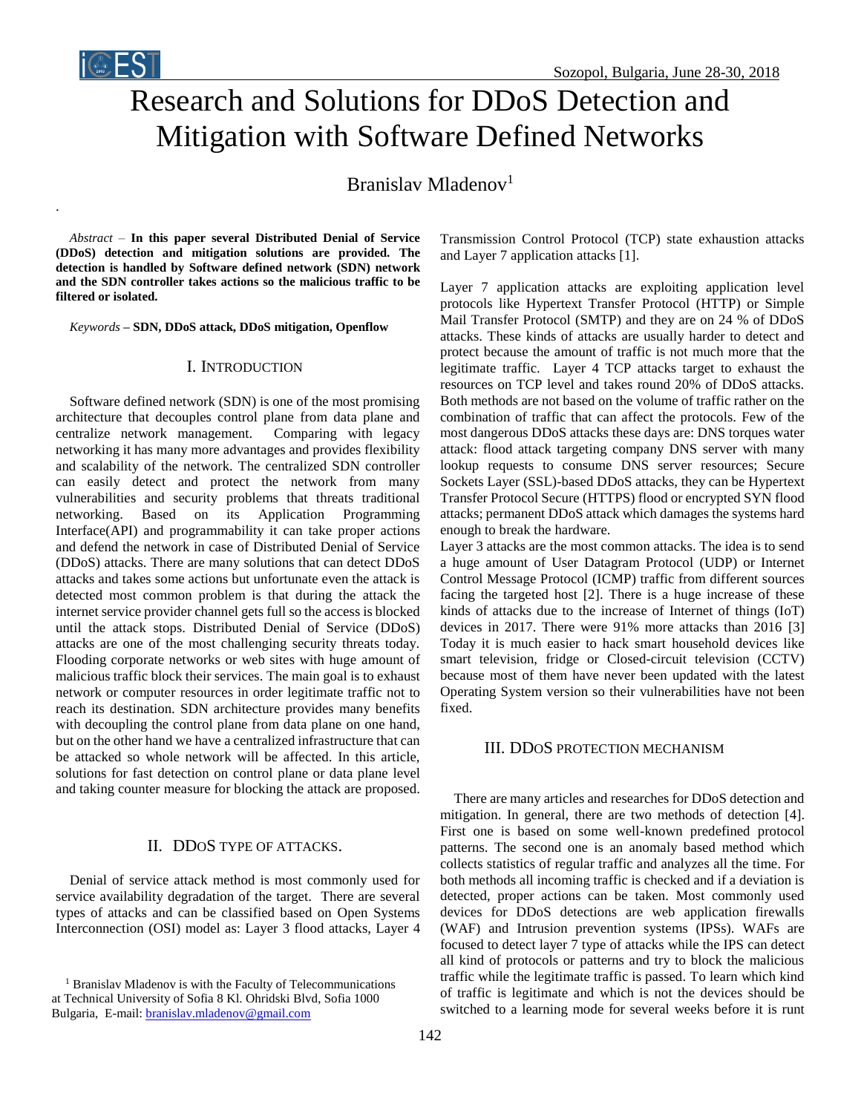

.

# Research and Solutions for DDoS Detection and Mitigation with Software Defined Networks

Branislav Mladenov<sup>1</sup>

*Abstract –* **In this paper several Distributed Denial of Service (DDoS) detection and mitigation solutions are provided. The detection is handled by Software defined network (SDN) network and the SDN controller takes actions so the malicious traffic to be filtered or isolated.** 

*Keywords* **– SDN, DDoS attack, DDoS mitigation, Openflow**

#### I. INTRODUCTION

Software defined network (SDN) is one of the most promising architecture that decouples control plane from data plane and centralize network management. Comparing with legacy networking it has many more advantages and provides flexibility and scalability of the network. The centralized SDN controller can easily detect and protect the network from many vulnerabilities and security problems that threats traditional networking. Based on its Application Programming Interface(API) and programmability it can take proper actions and defend the network in case of Distributed Denial of Service (DDoS) attacks. There are many solutions that can detect DDoS attacks and takes some actions but unfortunate even the attack is detected most common problem is that during the attack the internet service provider channel gets full so the access is blocked until the attack stops. Distributed Denial of Service (DDoS) attacks are one of the most challenging security threats today. Flooding corporate networks or web sites with huge amount of malicious traffic block their services. The main goal is to exhaust network or computer resources in order legitimate traffic not to reach its destination. SDN architecture provides many benefits with decoupling the control plane from data plane on one hand, but on the other hand we have a centralized infrastructure that can be attacked so whole network will be affected. In this article, solutions for fast detection on control plane or data plane level and taking counter measure for blocking the attack are proposed.

#### II. DDOS TYPE OF ATTACKS.

Denial of service attack method is most commonly used for service availability degradation of the target. There are several types of attacks and can be classified based on Open Systems Interconnection (OSI) model as: Layer 3 flood attacks, Layer 4 Transmission Control Protocol (TCP) state exhaustion attacks and Layer 7 application attacks [1].

Layer 7 application attacks are exploiting application level protocols like Hypertext Transfer Protocol (HTTP) or Simple Mail Transfer Protocol (SMTP) and they are on 24 % of DDoS attacks. These kinds of attacks are usually harder to detect and protect because the amount of traffic is not much more that the legitimate traffic. Layer 4 TCP attacks target to exhaust the resources on TCP level and takes round 20% of DDoS attacks. Both methods are not based on the volume of traffic rather on the combination of traffic that can affect the protocols. Few of the most dangerous DDoS attacks these days are: DNS torques water attack: flood attack targeting company DNS server with many lookup requests to consume DNS server resources; Secure Sockets Layer (SSL)-based DDoS attacks, they can be Hypertext Transfer Protocol Secure (HTTPS) flood or encrypted SYN flood attacks; permanent DDoS attack which damages the systems hard enough to break the hardware.

Layer 3 attacks are the most common attacks. The idea is to send a huge amount of User Datagram Protocol (UDP) or Internet Control Message Protocol (ICMP) traffic from different sources facing the targeted host [2]. There is a huge increase of these kinds of attacks due to the increase of Internet of things (IoT) devices in 2017. There were 91% more attacks than 2016 [3] Today it is much easier to hack smart household devices like smart television, fridge or Closed-circuit television (CCTV) because most of them have never been updated with the latest Operating System version so their vulnerabilities have not been fixed.

## III. DDOS PROTECTION MECHANISM

There are many articles and researches for DDoS detection and mitigation. In general, there are two methods of detection [4]. First one is based on some well-known predefined protocol patterns. The second one is an anomaly based method which collects statistics of regular traffic and analyzes all the time. For both methods all incoming traffic is checked and if a deviation is detected, proper actions can be taken. Most commonly used devices for DDoS detections are web application firewalls (WAF) and Intrusion prevention systems (IPSs). WAFs are focused to detect layer 7 type of attacks while the IPS can detect all kind of protocols or patterns and try to block the malicious traffic while the legitimate traffic is passed. To learn which kind of traffic is legitimate and which is not the devices should be switched to a learning mode for several weeks before it is runt

<sup>&</sup>lt;sup>1</sup> Branislav Mladenov is with the Faculty of Telecommunications at Technical University of Sofia 8 Kl. Ohridski Blvd, Sofia 1000 Bulgaria, E-mail: [branislav.mladenov@gmail.com](mailto:branislav.mladenov@gmail.com)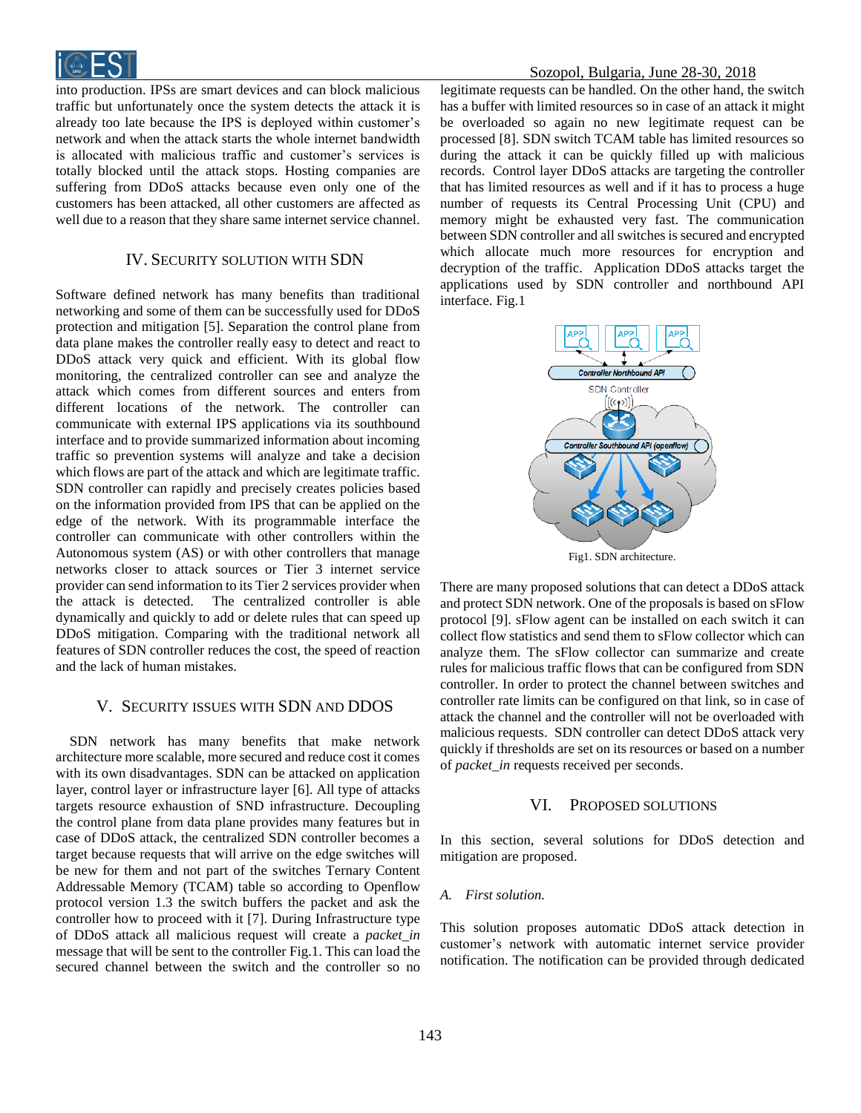

into production. IPSs are smart devices and can block malicious traffic but unfortunately once the system detects the attack it is already too late because the IPS is deployed within customer's network and when the attack starts the whole internet bandwidth is allocated with malicious traffic and customer's services is totally blocked until the attack stops. Hosting companies are suffering from DDoS attacks because even only one of the customers has been attacked, all other customers are affected as well due to a reason that they share same internet service channel.

## IV. SECURITY SOLUTION WITH SDN

Software defined network has many benefits than traditional networking and some of them can be successfully used for DDoS protection and mitigation [5]. Separation the control plane from data plane makes the controller really easy to detect and react to DDoS attack very quick and efficient. With its global flow monitoring, the centralized controller can see and analyze the attack which comes from different sources and enters from different locations of the network. The controller can communicate with external IPS applications via its southbound interface and to provide summarized information about incoming traffic so prevention systems will analyze and take a decision which flows are part of the attack and which are legitimate traffic. SDN controller can rapidly and precisely creates policies based on the information provided from IPS that can be applied on the edge of the network. With its programmable interface the controller can communicate with other controllers within the Autonomous system (AS) or with other controllers that manage networks closer to attack sources or Tier 3 internet service provider can send information to its Tier 2 services provider when the attack is detected. The centralized controller is able dynamically and quickly to add or delete rules that can speed up DDoS mitigation. Comparing with the traditional network all features of SDN controller reduces the cost, the speed of reaction and the lack of human mistakes.

# V. SECURITY ISSUES WITH SDN AND DDOS

SDN network has many benefits that make network architecture more scalable, more secured and reduce cost it comes with its own disadvantages. SDN can be attacked on application layer, control layer or infrastructure layer [6]. All type of attacks targets resource exhaustion of SND infrastructure. Decoupling the control plane from data plane provides many features but in case of DDoS attack, the centralized SDN controller becomes a target because requests that will arrive on the edge switches will be new for them and not part of the switches Ternary Content Addressable Memory (TCAM) table so according to Openflow protocol version 1.3 the switch buffers the packet and ask the controller how to proceed with it [7]. During Infrastructure type of DDoS attack all malicious request will create a *packet\_in* message that will be sent to the controller Fig.1. This can load the secured channel between the switch and the controller so no

legitimate requests can be handled. On the other hand, the switch has a buffer with limited resources so in case of an attack it might be overloaded so again no new legitimate request can be processed [8]. SDN switch TCAM table has limited resources so during the attack it can be quickly filled up with malicious records. Control layer DDoS attacks are targeting the controller that has limited resources as well and if it has to process a huge number of requests its Central Processing Unit (CPU) and memory might be exhausted very fast. The communication between SDN controller and all switches is secured and encrypted which allocate much more resources for encryption and decryption of the traffic. Application DDoS attacks target the applications used by SDN controller and northbound API interface. Fig.1



There are many proposed solutions that can detect a DDoS attack and protect SDN network. One of the proposals is based on sFlow protocol [9]. sFlow agent can be installed on each switch it can collect flow statistics and send them to sFlow collector which can analyze them. The sFlow collector can summarize and create rules for malicious traffic flows that can be configured from SDN controller. In order to protect the channel between switches and controller rate limits can be configured on that link, so in case of attack the channel and the controller will not be overloaded with malicious requests. SDN controller can detect DDoS attack very quickly if thresholds are set on its resources or based on a number of *packet\_in* requests received per seconds.

## VI. PROPOSED SOLUTIONS

In this section, several solutions for DDoS detection and mitigation are proposed.

#### *A. First solution.*

This solution proposes automatic DDoS attack detection in customer's network with automatic internet service provider notification. The notification can be provided through dedicated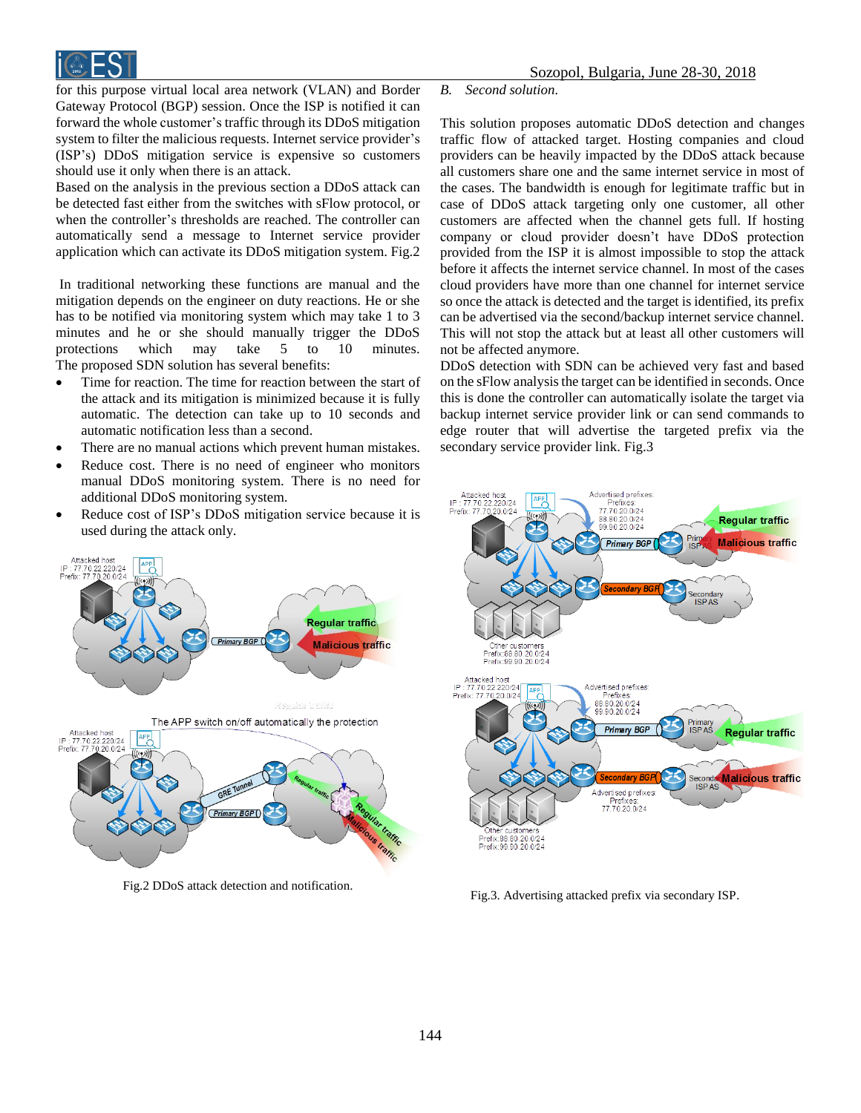

for this purpose virtual local area network (VLAN) and Border Gateway Protocol (BGP) session. Once the ISP is notified it can forward the whole customer's traffic through its DDoS mitigation system to filter the malicious requests. Internet service provider's (ISP's) DDoS mitigation service is expensive so customers should use it only when there is an attack.

Based on the analysis in the previous section a DDoS attack can be detected fast either from the switches with sFlow protocol, or when the controller's thresholds are reached. The controller can automatically send a message to Internet service provider application which can activate its DDoS mitigation system. Fig.2

In traditional networking these functions are manual and the mitigation depends on the engineer on duty reactions. He or she has to be notified via monitoring system which may take 1 to 3 minutes and he or she should manually trigger the DDoS protections which may take 5 to 10 minutes. The proposed SDN solution has several benefits:

- Time for reaction. The time for reaction between the start of the attack and its mitigation is minimized because it is fully automatic. The detection can take up to 10 seconds and automatic notification less than a second.
- There are no manual actions which prevent human mistakes.
- Reduce cost. There is no need of engineer who monitors manual DDoS monitoring system. There is no need for additional DDoS monitoring system.
- Reduce cost of ISP's DDoS mitigation service because it is used during the attack only.





Fig.2 DDoS attack detection and notification.

## *B. Second solution.*

This solution proposes automatic DDoS detection and changes traffic flow of attacked target. Hosting companies and cloud providers can be heavily impacted by the DDoS attack because all customers share one and the same internet service in most of the cases. The bandwidth is enough for legitimate traffic but in case of DDoS attack targeting only one customer, all other customers are affected when the channel gets full. If hosting company or cloud provider doesn't have DDoS protection provided from the ISP it is almost impossible to stop the attack before it affects the internet service channel. In most of the cases cloud providers have more than one channel for internet service so once the attack is detected and the target is identified, its prefix can be advertised via the second/backup internet service channel. This will not stop the attack but at least all other customers will not be affected anymore.

DDoS detection with SDN can be achieved very fast and based on the sFlow analysis the target can be identified in seconds. Once this is done the controller can automatically isolate the target via backup internet service provider link or can send commands to edge router that will advertise the targeted prefix via the secondary service provider link. Fig.3



Fig.3. Advertising attacked prefix via secondary ISP.